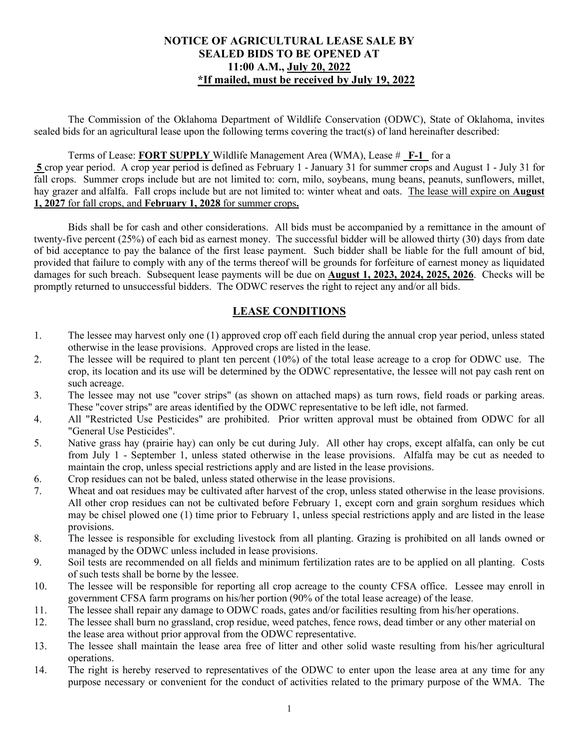#### **NOTICE OF AGRICULTURAL LEASE SALE BY SEALED BIDS TO BE OPENED AT 11:00 A.M., July 20, 2022 \*If mailed, must be received by July 19, 2022**

The Commission of the Oklahoma Department of Wildlife Conservation (ODWC), State of Oklahoma, invites sealed bids for an agricultural lease upon the following terms covering the tract(s) of land hereinafter described:

#### Terms of Lease: **FORT SUPPLY** Wildlife Management Area (WMA), Lease # **F-1** for a

 **5** crop year period. A crop year period is defined as February 1 - January 31 for summer crops and August 1 - July 31 for fall crops. Summer crops include but are not limited to: corn, milo, soybeans, mung beans, peanuts, sunflowers, millet, hay grazer and alfalfa. Fall crops include but are not limited to: winter wheat and oats. The lease will expire on **August 1, 2027** for fall crops, and **February 1, 2028** for summer crops**.** 

Bids shall be for cash and other considerations. All bids must be accompanied by a remittance in the amount of twenty-five percent (25%) of each bid as earnest money. The successful bidder will be allowed thirty (30) days from date of bid acceptance to pay the balance of the first lease payment. Such bidder shall be liable for the full amount of bid, provided that failure to comply with any of the terms thereof will be grounds for forfeiture of earnest money as liquidated damages for such breach. Subsequent lease payments will be due on **August 1, 2023, 2024, 2025, 2026**. Checks will be promptly returned to unsuccessful bidders. The ODWC reserves the right to reject any and/or all bids.

### **LEASE CONDITIONS**

- 1. The lessee may harvest only one (1) approved crop off each field during the annual crop year period, unless stated otherwise in the lease provisions. Approved crops are listed in the lease.
- 2. The lessee will be required to plant ten percent (10%) of the total lease acreage to a crop for ODWC use. The crop, its location and its use will be determined by the ODWC representative, the lessee will not pay cash rent on such acreage.
- 3. The lessee may not use "cover strips" (as shown on attached maps) as turn rows, field roads or parking areas. These "cover strips" are areas identified by the ODWC representative to be left idle, not farmed.
- 4. All "Restricted Use Pesticides" are prohibited. Prior written approval must be obtained from ODWC for all "General Use Pesticides".
- 5. Native grass hay (prairie hay) can only be cut during July. All other hay crops, except alfalfa, can only be cut from July 1 - September 1, unless stated otherwise in the lease provisions. Alfalfa may be cut as needed to maintain the crop, unless special restrictions apply and are listed in the lease provisions.
- 6. Crop residues can not be baled, unless stated otherwise in the lease provisions.
- 7. Wheat and oat residues may be cultivated after harvest of the crop, unless stated otherwise in the lease provisions. All other crop residues can not be cultivated before February 1, except corn and grain sorghum residues which may be chisel plowed one (1) time prior to February 1, unless special restrictions apply and are listed in the lease provisions.
- 8. The lessee is responsible for excluding livestock from all planting. Grazing is prohibited on all lands owned or managed by the ODWC unless included in lease provisions.
- 9. Soil tests are recommended on all fields and minimum fertilization rates are to be applied on all planting. Costs of such tests shall be borne by the lessee.
- 10. The lessee will be responsible for reporting all crop acreage to the county CFSA office. Lessee may enroll in government CFSA farm programs on his/her portion (90% of the total lease acreage) of the lease.
- 11. The lessee shall repair any damage to ODWC roads, gates and/or facilities resulting from his/her operations.
- 12. The lessee shall burn no grassland, crop residue, weed patches, fence rows, dead timber or any other material on the lease area without prior approval from the ODWC representative.
- 13. The lessee shall maintain the lease area free of litter and other solid waste resulting from his/her agricultural operations.
- 14. The right is hereby reserved to representatives of the ODWC to enter upon the lease area at any time for any purpose necessary or convenient for the conduct of activities related to the primary purpose of the WMA. The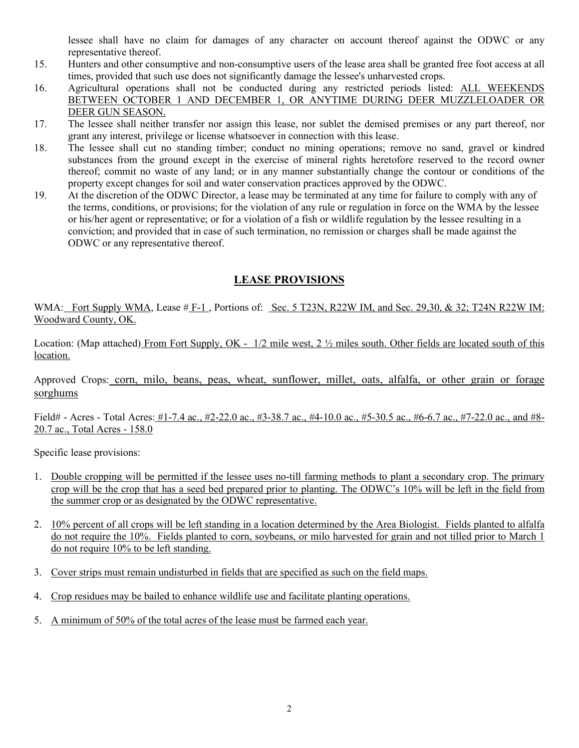lessee shall have no claim for damages of any character on account thereof against the ODWC or any representative thereof.

- 15. Hunters and other consumptive and non-consumptive users of the lease area shall be granted free foot access at all times, provided that such use does not significantly damage the lessee's unharvested crops.
- 16. Agricultural operations shall not be conducted during any restricted periods listed: ALL WEEKENDS BETWEEN OCTOBER 1 AND DECEMBER 1, OR ANYTIME DURING DEER MUZZLELOADER OR DEER GUN SEASON.
- 17. The lessee shall neither transfer nor assign this lease, nor sublet the demised premises or any part thereof, nor grant any interest, privilege or license whatsoever in connection with this lease.
- 18. The lessee shall cut no standing timber; conduct no mining operations; remove no sand, gravel or kindred substances from the ground except in the exercise of mineral rights heretofore reserved to the record owner thereof; commit no waste of any land; or in any manner substantially change the contour or conditions of the property except changes for soil and water conservation practices approved by the ODWC.
- 19. At the discretion of the ODWC Director, a lease may be terminated at any time for failure to comply with any of the terms, conditions, or provisions; for the violation of any rule or regulation in force on the WMA by the lessee or his/her agent or representative; or for a violation of a fish or wildlife regulation by the lessee resulting in a conviction; and provided that in case of such termination, no remission or charges shall be made against the ODWC or any representative thereof.

## **LEASE PROVISIONS**

WMA: Fort Supply WMA, Lease # F-1, Portions of: Sec. 5 T23N, R22W IM, and Sec. 29,30, & 32; T24N R22W IM: Woodward County, OK.

Location: (Map attached) From Fort Supply, OK - 1/2 mile west, 2 ½ miles south. Other fields are located south of this location.

Approved Crops: corn, milo, beans, peas, wheat, sunflower, millet, oats, alfalfa, or other grain or forage sorghums

Field# - Acres - Total Acres: #1-7.4 ac., #2-22.0 ac., #3-38.7 ac., #4-10.0 ac., #5-30.5 ac., #6-6.7 ac., #7-22.0 ac., and #8- 20.7 ac., Total Acres - 158.0

Specific lease provisions:

- 1. Double cropping will be permitted if the lessee uses no-till farming methods to plant a secondary crop. The primary crop will be the crop that has a seed bed prepared prior to planting. The ODWC's 10% will be left in the field from the summer crop or as designated by the ODWC representative.
- 2. 10% percent of all crops will be left standing in a location determined by the Area Biologist. Fields planted to alfalfa do not require the 10%. Fields planted to corn, soybeans, or milo harvested for grain and not tilled prior to March 1 do not require 10% to be left standing.
- 3. Cover strips must remain undisturbed in fields that are specified as such on the field maps.
- 4. Crop residues may be bailed to enhance wildlife use and facilitate planting operations.
- 5. A minimum of 50% of the total acres of the lease must be farmed each year.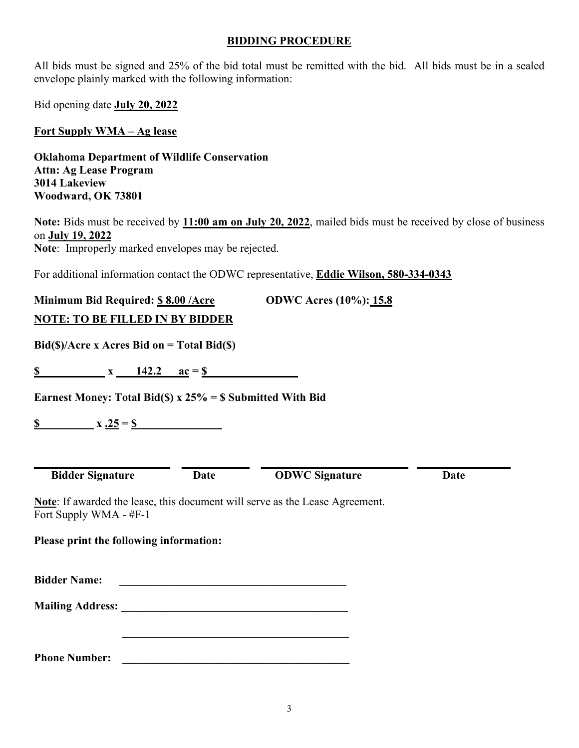#### **BIDDING PROCEDURE**

All bids must be signed and 25% of the bid total must be remitted with the bid. All bids must be in a sealed envelope plainly marked with the following information:

Bid opening date **July 20, 2022** 

**Fort Supply WMA – Ag lease** 

**Oklahoma Department of Wildlife Conservation Attn: Ag Lease Program 3014 Lakeview Woodward, OK 73801** 

**Note:** Bids must be received by **11:00 am on July 20, 2022**, mailed bids must be received by close of business on **July 19, 2022 Note**: Improperly marked envelopes may be rejected.

For additional information contact the ODWC representative, **Eddie Wilson, 580-334-0343** 

**Minimum Bid Required: \$ 8.00 /Acre ODWC Acres (10%): 15.8 NOTE: TO BE FILLED IN BY BIDDER**

**Bid(\$)/Acre x Acres Bid on = Total Bid(\$)** 

 $\textbf{S}$  x 142.2 ac = \$

**Earnest Money: Total Bid(\$) x 25% = \$ Submitted With Bid** 

**\$** x .25 = \$

**Bidder Signature Date ODWC Signature Date** 

**\_\_\_\_\_\_\_\_\_\_\_\_\_\_\_\_\_\_\_\_\_\_\_\_ \_\_\_\_\_\_\_\_\_\_\_\_ \_\_\_\_\_\_\_\_\_\_\_\_\_\_\_\_\_\_\_\_\_\_\_\_\_\_ \_\_\_\_\_\_\_\_\_** 

**Note**: If awarded the lease, this document will serve as the Lease Agreement. Fort Supply WMA - #F-1

**Please print the following information:** 

**Bidder Name: \_\_\_\_\_\_\_\_\_\_\_\_\_\_\_\_\_\_\_\_\_\_\_\_\_\_\_\_\_\_\_\_\_\_\_\_\_\_\_\_** 

**Mailing Address: \_\_\_\_\_\_\_\_\_\_\_\_\_\_\_\_\_\_\_\_\_\_\_\_\_\_\_\_\_\_\_\_\_\_\_\_\_\_\_\_** 

 **\_\_\_\_\_\_\_\_\_\_\_\_\_\_\_\_\_\_\_\_\_\_\_\_\_\_\_\_\_\_\_\_\_\_\_\_\_\_\_\_** 

**Phone Number: \_\_\_\_\_\_\_\_\_\_\_\_\_\_\_\_\_\_\_\_\_\_\_\_\_\_\_\_\_\_\_\_\_\_\_\_\_\_\_\_**